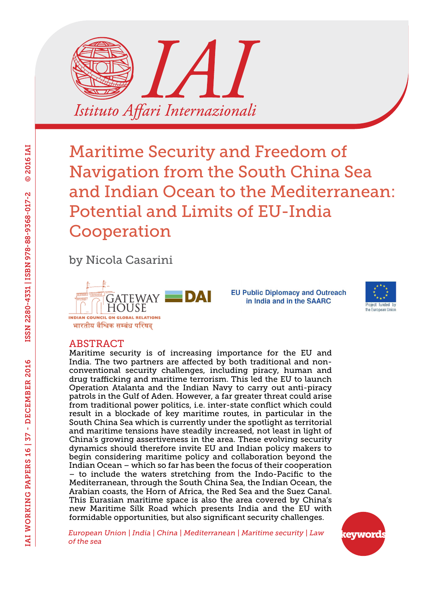

by Nicola Casarini



**EU Public Diplomacy and Outreach** in India and in the SAARC



#### ABSTRACT

Maritime security is of increasing importance for the EU and India. The two partners are affected by both traditional and nonconventional security challenges, including piracy, human and drug trafficking and maritime terrorism. This led the EU to launch Operation Atalanta and the Indian Navy to carry out anti-piracy patrols in the Gulf of Aden. However, a far greater threat could arise from traditional power politics, i.e. inter-state conflict which could result in a blockade of key maritime routes, in particular in the South China Sea which is currently under the spotlight as territorial and maritime tensions have steadily increased, not least in light of China's growing assertiveness in the area. These evolving security dynamics should therefore invite EU and Indian policy makers to begin considering maritime policy and collaboration beyond the Indian Ocean – which so far has been the focus of their cooperation – to include the waters stretching from the Indo-Pacific to the Mediterranean, through the South China Sea, the Indian Ocean, the Arabian coasts, the Horn of Africa, the Red Sea and the Suez Canal. This Eurasian maritime space is also the area covered by China's new Maritime Silk Road which presents India and the EU with formidable opportunities, but also significant security challenges.

*European Union | India | China | Mediterranean | Maritime security | Law of the sea*

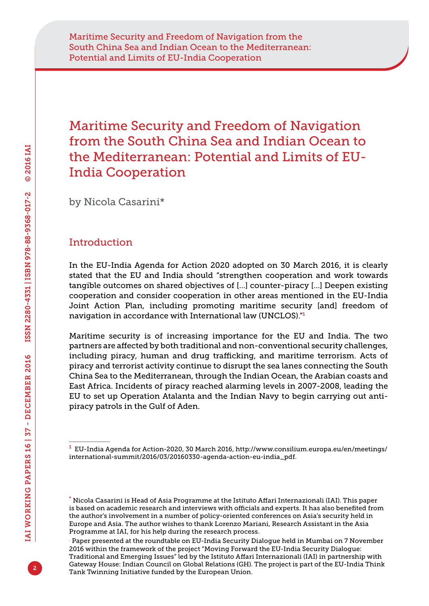by Nicola Casarini\*

# Introduction

In the EU-India Agenda for Action 2020 adopted on 30 March 2016, it is clearly stated that the EU and India should "strengthen cooperation and work towards tangible outcomes on shared objectives of […] counter-piracy […] Deepen existing cooperation and consider cooperation in other areas mentioned in the EU-India Joint Action Plan, including promoting maritime security [and] freedom of navigation in accordance with International law (UNCLOS)."<sup>1</sup>

Maritime security is of increasing importance for the EU and India. The two partners are affected by both traditional and non-conventional security challenges, including piracy, human and drug trafficking, and maritime terrorism. Acts of piracy and terrorist activity continue to disrupt the sea lanes connecting the South China Sea to the Mediterranean, through the Indian Ocean, the Arabian coasts and East Africa. Incidents of piracy reached alarming levels in 2007-2008, leading the EU to set up Operation Atalanta and the Indian Navy to begin carrying out antipiracy patrols in the Gulf of Aden.

<sup>1</sup> EU-India Agenda for Action-2020, 30 March 2016, [http://www.consilium.europa.eu/en/meetings/](http://www.consilium.europa.eu/en/meetings/international-summit/2016/03/20160330-agenda-action-eu-india_pdf) [international-summit/2016/03/20160330-agenda-action-eu-india\\_pdf](http://www.consilium.europa.eu/en/meetings/international-summit/2016/03/20160330-agenda-action-eu-india_pdf).

<sup>\*</sup> Nicola Casarini is Head of Asia Programme at the Istituto Affari Internazionali (IAI). This paper is based on academic research and interviews with officials and experts. It has also benefited from the author's involvement in a number of policy-oriented conferences on Asia's security held in Europe and Asia. The author wishes to thank Lorenzo Mariani, Research Assistant in the Asia Programme at IAI, for his help during the research process.

<sup>.</sup> Paper presented at the roundtable on EU-India Security Dialogue held in Mumbai on 7 November 2016 within the framework of the project "Moving Forward the EU-India Security Dialogue: Traditional and Emerging Issues" led by the Istituto Affari Internazionali (IAI) in partnership with Gateway House: Indian Council on Global Relations (GH). The project is part of the EU-India Think Tank Twinning Initiative funded by the European Union.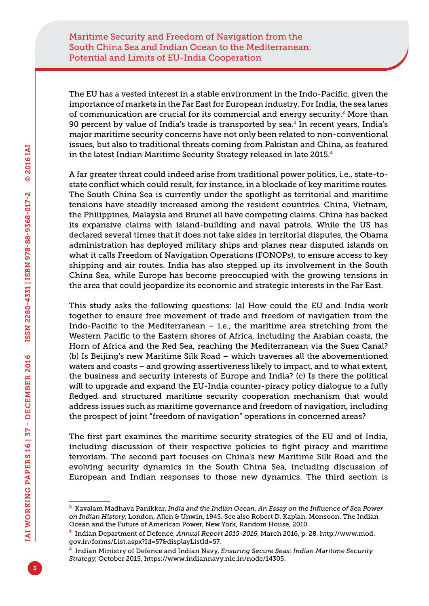The EU has a vested interest in a stable environment in the Indo-Pacific, given the importance of markets in the Far East for European industry. For India, the sea lanes of communication are crucial for its commercial and energy security.<sup>2</sup> More than 90 percent by value of India's trade is transported by sea. $3$  In recent years, India's major maritime security concerns have not only been related to non-conventional issues, but also to traditional threats coming from Pakistan and China, as featured in the latest Indian Maritime Security Strategy released in late 2015.<sup>4</sup>

A far greater threat could indeed arise from traditional power politics, i.e., state-tostate conflict which could result, for instance, in a blockade of key maritime routes. The South China Sea is currently under the spotlight as territorial and maritime tensions have steadily increased among the resident countries. China, Vietnam, the Philippines, Malaysia and Brunei all have competing claims. China has backed its expansive claims with island-building and naval patrols. While the US has declared several times that it does not take sides in territorial disputes, the Obama administration has deployed military ships and planes near disputed islands on what it calls Freedom of Navigation Operations (FONOPs), to ensure access to key shipping and air routes. India has also stepped up its involvement in the South China Sea, while Europe has become preoccupied with the growing tensions in the area that could jeopardize its economic and strategic interests in the Far East.

This study asks the following questions: (a) How could the EU and India work together to ensure free movement of trade and freedom of navigation from the Indo-Pacific to the Mediterranean  $-$  i.e., the maritime area stretching from the Western Pacific to the Eastern shores of Africa, including the Arabian coasts, the Horn of Africa and the Red Sea, reaching the Mediterranean via the Suez Canal? (b) Is Beijing's new Maritime Silk Road – which traverses all the abovementioned waters and coasts – and growing assertiveness likely to impact, and to what extent, the business and security interests of Europe and India? (c) Is there the political will to upgrade and expand the EU-India counter-piracy policy dialogue to a fully fledged and structured maritime security cooperation mechanism that would address issues such as maritime governance and freedom of navigation, including the prospect of joint "freedom of navigation" operations in concerned areas?

The first part examines the maritime security strategies of the EU and of India, including discussion of their respective policies to fight piracy and maritime terrorism. The second part focuses on China's new Maritime Silk Road and the evolving security dynamics in the South China Sea, including discussion of European and Indian responses to those new dynamics. The third section is

<sup>2</sup> Kavalam Madhava Panikkar, *India and the Indian Ocean. An Essay on the Influence of Sea Power on Indian History*, London, Allen & Unwin, 1945. See also Robert D. Kaplan, Monsoon. The Indian Ocean and the Future of American Power, New York, Random House, 2010.

<sup>3</sup> Indian Department of Defence, *Annual Report 2015-2016*, March 2016, p. 28, [http://www.mod.](http://www.mod.gov.in/forms/List.aspx?Id=57&displayListId=57) [gov.in/forms/List.aspx?Id=57&displayListId=57.](http://www.mod.gov.in/forms/List.aspx?Id=57&displayListId=57)

<sup>4</sup> Indian Ministry of Defence and Indian Navy, *Ensuring Secure Seas: Indian Maritime Security Strategy*, October 2015,<https://www.indiannavy.nic.in/node/14305>.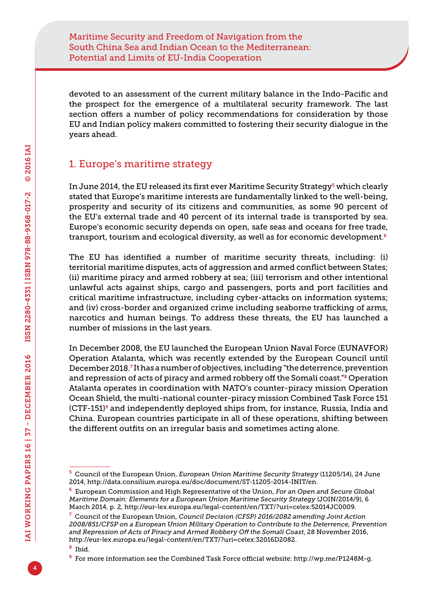devoted to an assessment of the current military balance in the Indo-Pacific and the prospect for the emergence of a multilateral security framework. The last section offers a number of policy recommendations for consideration by those EU and Indian policy makers committed to fostering their security dialogue in the years ahead.

# 1. Europe's maritime strategy

In June 2014, the EU released its first ever Maritime Security Strategy<sup>5</sup> which clearly stated that Europe's maritime interests are fundamentally linked to the well-being, prosperity and security of its citizens and communities, as some 90 percent of the EU's external trade and 40 percent of its internal trade is transported by sea. Europe's economic security depends on open, safe seas and oceans for free trade, transport, tourism and ecological diversity, as well as for economic development.<sup>6</sup>

The EU has identified a number of maritime security threats, including: (i) territorial maritime disputes, acts of aggression and armed conflict between States; (ii) maritime piracy and armed robbery at sea; (iii) terrorism and other intentional unlawful acts against ships, cargo and passengers, ports and port facilities and critical maritime infrastructure, including cyber-attacks on information systems; and (iv) cross-border and organized crime including seaborne trafficking of arms, narcotics and human beings. To address these threats, the EU has launched a number of missions in the last years.

In December 2008, the EU launched the European Union Naval Force (EUNAVFOR) Operation Atalanta, which was recently extended by the European Council until December 2018.<sup>7</sup> It has a number of objectives, including "the deterrence, prevention and repression of acts of piracy and armed robbery off the Somali coast."8 Operation Atalanta operates in coordination with NATO's counter-piracy mission Operation Ocean Shield, the multi-national counter-piracy mission Combined Task Force 151  $(CTF-151)$ <sup>9</sup> and independently deployed ships from, for instance, Russia, India and China. European countries participate in all of these operations, shifting between the different outfits on an irregular basis and sometimes acting alone.

<sup>8</sup> Ibid.

<sup>5</sup> Council of the European Union, *European Union Maritime Security Strategy* (11205/14), 24 June 2014,<http://data.consilium.europa.eu/doc/document/ST-11205-2014-INIT/en>.

<sup>6</sup> European Commission and High Representative of the Union, *For an Open and Secure Global Maritime Domain: Elements for a European Union Maritime Security Strategy* (JOIN/2014/9), 6 March 2014, p. 2, [http://eur-lex.europa.eu/legal-content/en/TXT/?uri=celex:52014JC0009.](http://eur-lex.europa.eu/legal-content/en/TXT/?uri=celex:52014JC0009)

<sup>7</sup> Council of the European Union, *Council Decision (CFSP) 2016/2082 amending Joint Action 2008/851/CFSP on a European Union Military Operation to Contribute to the Deterrence, Prevention and Repression of Acts of Piracy and Armed Robbery Off the Somali Coast*, 28 November 2016, [http://eur-lex.europa.eu/legal-content/en/TXT/?uri=celex:32016D2082.](http://eur-lex.europa.eu/legal-content/en/TXT/?uri=celex:32016D2082)

<sup>9</sup> For more information see the Combined Task Force official website: [http://wp.me/P1248M-g.](http://wp.me/P1248M-g)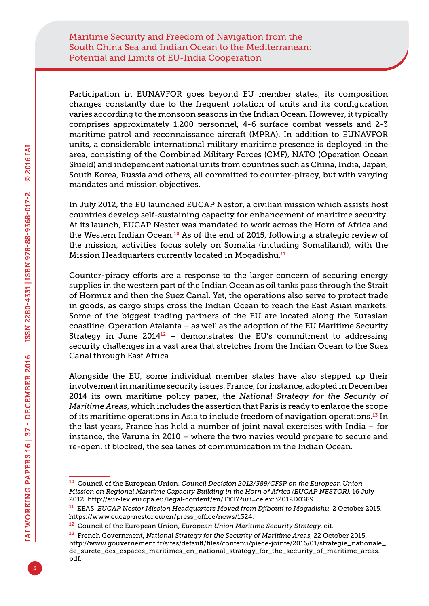Participation in EUNAVFOR goes beyond EU member states; its composition changes constantly due to the frequent rotation of units and its configuration varies according to the monsoon seasons in the Indian Ocean. However, it typically comprises approximately 1,200 personnel, 4-6 surface combat vessels and 2-3 maritime patrol and reconnaissance aircraft (MPRA). In addition to EUNAVFOR units, a considerable international military maritime presence is deployed in the area, consisting of the Combined Military Forces (CMF), NATO (Operation Ocean Shield) and independent national units from countries such as China, India, Japan, South Korea, Russia and others, all committed to counter-piracy, but with varying mandates and mission objectives.

In July 2012, the EU launched EUCAP Nestor, a civilian mission which assists host countries develop self-sustaining capacity for enhancement of maritime security. At its launch, EUCAP Nestor was mandated to work across the Horn of Africa and the Western Indian Ocean.<sup>10</sup> As of the end of 2015, following a strategic review of the mission, activities focus solely on Somalia (including Somaliland), with the Mission Headquarters currently located in Mogadishu.<sup>11</sup>

Counter-piracy efforts are a response to the larger concern of securing energy supplies in the western part of the Indian Ocean as oil tanks pass through the Strait of Hormuz and then the Suez Canal. Yet, the operations also serve to protect trade in goods, as cargo ships cross the Indian Ocean to reach the East Asian markets. Some of the biggest trading partners of the EU are located along the Eurasian coastline. Operation Atalanta – as well as the adoption of the EU Maritime Security Strategy in June  $2014^{12}$  – demonstrates the EU's commitment to addressing security challenges in a vast area that stretches from the Indian Ocean to the Suez Canal through East Africa.

Alongside the EU, some individual member states have also stepped up their involvement in maritime security issues. France, for instance, adopted in December 2014 its own maritime policy paper, the *National Strategy for the Security of Maritime Areas*, which includes the assertion that Paris is ready to enlarge the scope of its maritime operations in Asia to include freedom of navigation operations.13 In the last years, France has held a number of joint naval exercises with India – for instance, the Varuna in 2010 – where the two navies would prepare to secure and re-open, if blocked, the sea lanes of communication in the Indian Ocean.

<sup>10</sup> Council of the European Union, *Council Decision 2012/389/CFSP on the European Union Mission on Regional Maritime Capacity Building in the Horn of Africa (EUCAP NESTOR)*, 16 July 2012, [http://eur-lex.europa.eu/legal-content/en/TXT/?uri=celex:32012D0389.](http://eur-lex.europa.eu/legal-content/en/TXT/?uri=celex:32012D0389)

<sup>11</sup> EEAS, *EUCAP Nestor Mission Headquarters Moved from Djibouti to Mogadishu*, 2 October 2015, [https://www.eucap-nestor.eu/en/press\\_office/news/1324](https://www.eucap-nestor.eu/en/press_office/news/1324).

<sup>12</sup> Council of the European Union, *European Union Maritime Security Strategy*, cit.

<sup>13</sup> French Government, *National Strategy for the Security of Maritime Areas*, 22 October 2015, [http://www.gouvernement.fr/sites/default/files/contenu/piece-jointe/2016/01/strategie\\_nationale\\_](http://www.gouvernement.fr/sites/default/files/contenu/piece-jointe/2016/01/strategie_nationale_de_surete_des_espaces_maritimes_en_national_strategy_for_the_security_of_maritime_areas.pdf) [de\\_surete\\_des\\_espaces\\_maritimes\\_en\\_national\\_strategy\\_for\\_the\\_security\\_of\\_maritime\\_areas.](http://www.gouvernement.fr/sites/default/files/contenu/piece-jointe/2016/01/strategie_nationale_de_surete_des_espaces_maritimes_en_national_strategy_for_the_security_of_maritime_areas.pdf) [pdf.](http://www.gouvernement.fr/sites/default/files/contenu/piece-jointe/2016/01/strategie_nationale_de_surete_des_espaces_maritimes_en_national_strategy_for_the_security_of_maritime_areas.pdf)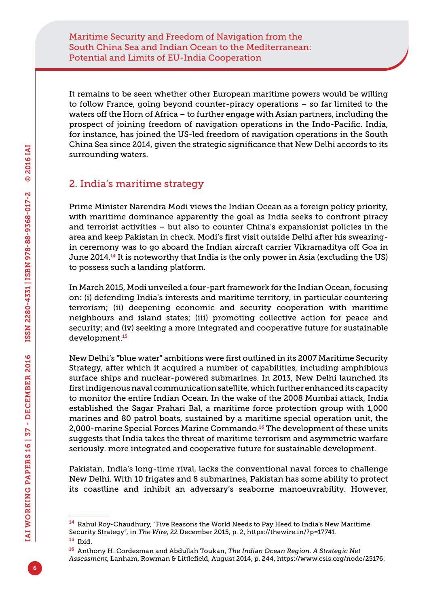It remains to be seen whether other European maritime powers would be willing to follow France, going beyond counter-piracy operations – so far limited to the waters off the Horn of Africa – to further engage with Asian partners, including the prospect of joining freedom of navigation operations in the Indo-Pacific. India, for instance, has joined the US-led freedom of navigation operations in the South China Sea since 2014, given the strategic significance that New Delhi accords to its surrounding waters.

### 2. India's maritime strategy

Prime Minister Narendra Modi views the Indian Ocean as a foreign policy priority, with maritime dominance apparently the goal as India seeks to confront piracy and terrorist activities – but also to counter China's expansionist policies in the area and keep Pakistan in check. Modi's first visit outside Delhi after his swearingin ceremony was to go aboard the Indian aircraft carrier Vikramaditya off Goa in June 2014.<sup>14</sup> It is noteworthy that India is the only power in Asia (excluding the US) to possess such a landing platform.

In March 2015, Modi unveiled a four-part framework for the Indian Ocean, focusing on: (i) defending India's interests and maritime territory, in particular countering terrorism; (ii) deepening economic and security cooperation with maritime neighbours and island states; (iii) promoting collective action for peace and security; and (iv) seeking a more integrated and cooperative future for sustainable development.<sup>15</sup>

New Delhi's "blue water" ambitions were first outlined in its 2007 Maritime Security Strategy, after which it acquired a number of capabilities, including amphibious surface ships and nuclear-powered submarines. In 2013, New Delhi launched its first indigenous naval communication satellite, which further enhanced its capacity to monitor the entire Indian Ocean. In the wake of the 2008 Mumbai attack, India established the Sagar Prahari Bal, a maritime force protection group with 1,000 marines and 80 patrol boats, sustained by a maritime special operation unit, the 2,000-marine Special Forces Marine Commando.<sup>16</sup> The development of these units suggests that India takes the threat of maritime terrorism and asymmetric warfare seriously. more integrated and cooperative future for sustainable development.

Pakistan, India's long-time rival, lacks the conventional naval forces to challenge New Delhi. With 10 frigates and 8 submarines, Pakistan has some ability to protect its coastline and inhibit an adversary's seaborne manoeuvrability. However,

<sup>14</sup> Rahul Roy-Chaudhury, "Five Reasons the World Needs to Pay Heed to India's New Maritime Security Strategy", in *The Wire*, 22 December 2015, p. 2, [https://thewire.in/?p=17741.](https://thewire.in/?p=17741)

<sup>15</sup> Ibid.

<sup>16</sup> Anthony H. Cordesman and Abdullah Toukan, *The Indian Ocean Region. A Strategic Net Assessment*, Lanham, Rowman & Littlefield, August 2014, p. 244, [https://www.csis.org/node/25176.](https://www.csis.org/node/25176)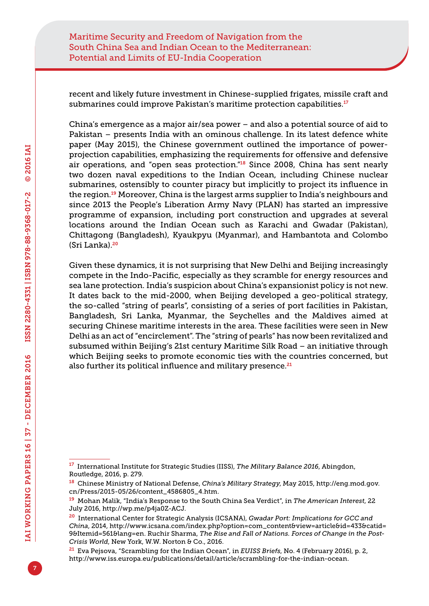recent and likely future investment in Chinese-supplied frigates, missile craft and submarines could improve Pakistan's maritime protection capabilities.<sup>17</sup>

China's emergence as a major air/sea power – and also a potential source of aid to Pakistan – presents India with an ominous challenge. In its latest defence white paper (May 2015), the Chinese government outlined the importance of powerprojection capabilities, emphasizing the requirements for offensive and defensive air operations, and "open seas protection."<sup>18</sup> Since 2008, China has sent nearly two dozen naval expeditions to the Indian Ocean, including Chinese nuclear submarines, ostensibly to counter piracy but implicitly to project its influence in the region.19 Moreover, China is the largest arms supplier to India's neighbours and since 2013 the People's Liberation Army Navy (PLAN) has started an impressive programme of expansion, including port construction and upgrades at several locations around the Indian Ocean such as Karachi and Gwadar (Pakistan), Chittagong (Bangladesh), Kyaukpyu (Myanmar), and Hambantota and Colombo (Sri Lanka).<sup>20</sup>

Given these dynamics, it is not surprising that New Delhi and Beijing increasingly compete in the Indo-Pacific, especially as they scramble for energy resources and sea lane protection. India's suspicion about China's expansionist policy is not new. It dates back to the mid-2000, when Beijing developed a geo-political strategy, the so-called "string of pearls", consisting of a series of port facilities in Pakistan, Bangladesh, Sri Lanka, Myanmar, the Seychelles and the Maldives aimed at securing Chinese maritime interests in the area. These facilities were seen in New Delhi as an act of "encirclement". The "string of pearls" has now been revitalized and subsumed within Beijing's 21st century Maritime Silk Road – an initiative through which Beijing seeks to promote economic ties with the countries concerned, but also further its political influence and military presence.<sup>21</sup>

<sup>17</sup> International Institute for Strategic Studies (IISS), *The Military Balance 2016*, Abingdon, Routledge, 2016, p. 279.

<sup>18</sup> Chinese Ministry of National Defense, *China's Military Strategy*, May 2015, [http://eng.mod.gov.](http://eng.mod.gov.cn/Press/2015-05/26/content_4586805_4.htm) [cn/Press/2015-05/26/content\\_4586805\\_4.htm.](http://eng.mod.gov.cn/Press/2015-05/26/content_4586805_4.htm)

<sup>19</sup> Mohan Malik, "India's Response to the South China Sea Verdict", in *The American Interest*, 22 July 2016,<http://wp.me/p4ja0Z-ACJ>.

<sup>20</sup> International Center for Strategic Analysis (ICSANA), *Gwadar Port: Implications for GCC and China*, 2014, [http://www.icsana.com/index.php?option=com\\_content&view=article&id=433&catid=](http://www.icsana.com/index.php?option=com_content&view=article&id=433&catid=9&Itemid=561&lang=en) [9&Itemid=561&lang=en.](http://www.icsana.com/index.php?option=com_content&view=article&id=433&catid=9&Itemid=561&lang=en) Ruchir Sharma, *The Rise and Fall of Nations. Forces of Change in the Post-Crisis World*, New York, W.W. Norton & Co., 2016.

<sup>21</sup> Eva Pejsova, "Scrambling for the Indian Ocean", in *EUISS Briefs*, No. 4 (February 2016), p. 2, <http://www.iss.europa.eu/publications/detail/article/scrambling-for-the-indian-ocean>.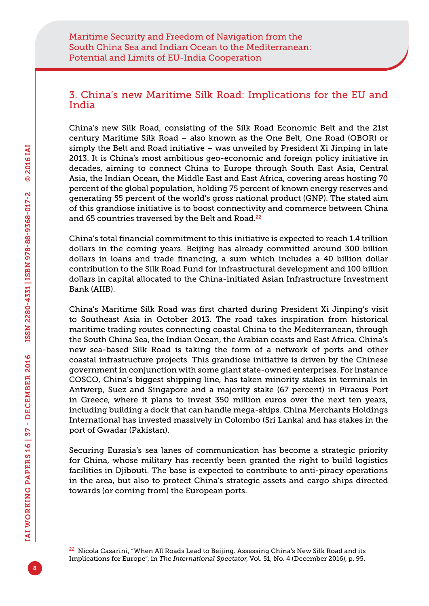### 3. China's new Maritime Silk Road: Implications for the EU and India

China's new Silk Road, consisting of the Silk Road Economic Belt and the 21st century Maritime Silk Road – also known as the One Belt, One Road (OBOR) or simply the Belt and Road initiative – was unveiled by President Xi Jinping in late 2013. It is China's most ambitious geo-economic and foreign policy initiative in decades, aiming to connect China to Europe through South East Asia, Central Asia, the Indian Ocean, the Middle East and East Africa, covering areas hosting 70 percent of the global population, holding 75 percent of known energy reserves and generating 55 percent of the world's gross national product (GNP). The stated aim of this grandiose initiative is to boost connectivity and commerce between China and 65 countries traversed by the Belt and Road.<sup>22</sup>

China's total financial commitment to this initiative is expected to reach 1.4 trillion dollars in the coming years. Beijing has already committed around 300 billion dollars in loans and trade financing, a sum which includes a 40 billion dollar contribution to the Silk Road Fund for infrastructural development and 100 billion dollars in capital allocated to the China-initiated Asian Infrastructure Investment Bank (AIIB).

China's Maritime Silk Road was first charted during President Xi Jinping's visit to Southeast Asia in October 2013. The road takes inspiration from historical maritime trading routes connecting coastal China to the Mediterranean, through the South China Sea, the Indian Ocean, the Arabian coasts and East Africa. China's new sea-based Silk Road is taking the form of a network of ports and other coastal infrastructure projects. This grandiose initiative is driven by the Chinese government in conjunction with some giant state-owned enterprises. For instance COSCO, China's biggest shipping line, has taken minority stakes in terminals in Antwerp, Suez and Singapore and a majority stake (67 percent) in Piraeus Port in Greece, where it plans to invest 350 million euros over the next ten years, including building a dock that can handle mega-ships. China Merchants Holdings International has invested massively in Colombo (Sri Lanka) and has stakes in the port of Gwadar (Pakistan).

Securing Eurasia's sea lanes of communication has become a strategic priority for China, whose military has recently been granted the right to build logistics facilities in Djibouti. The base is expected to contribute to anti-piracy operations in the area, but also to protect China's strategic assets and cargo ships directed towards (or coming from) the European ports.

<sup>&</sup>lt;sup>22</sup> Nicola Casarini, "When All Roads Lead to Beijing. Assessing China's New Silk Road and its Implications for Europe", in *The International Spectator*, Vol. 51, No. 4 (December 2016), p. 95.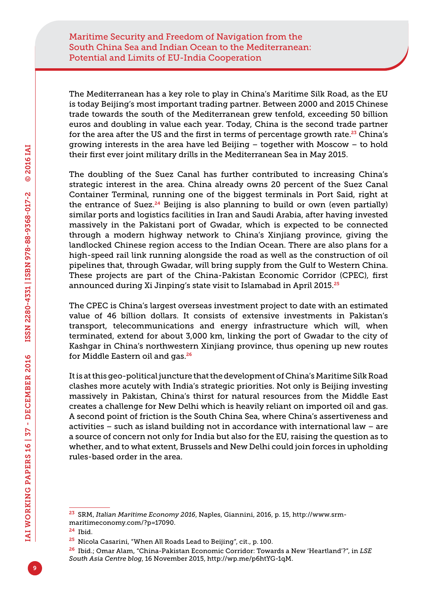The Mediterranean has a key role to play in China's Maritime Silk Road, as the EU is today Beijing's most important trading partner. Between 2000 and 2015 Chinese trade towards the south of the Mediterranean grew tenfold, exceeding 50 billion euros and doubling in value each year. Today, China is the second trade partner for the area after the US and the first in terms of percentage growth rate. $23$  China's growing interests in the area have led Beijing – together with Moscow – to hold their first ever joint military drills in the Mediterranean Sea in May 2015.

The doubling of the Suez Canal has further contributed to increasing China's strategic interest in the area. China already owns 20 percent of the Suez Canal Container Terminal, running one of the biggest terminals in Port Said, right at the entrance of Suez.<sup>24</sup> Beijing is also planning to build or own (even partially) similar ports and logistics facilities in Iran and Saudi Arabia, after having invested massively in the Pakistani port of Gwadar, which is expected to be connected through a modern highway network to China's Xinjiang province, giving the landlocked Chinese region access to the Indian Ocean. There are also plans for a high-speed rail link running alongside the road as well as the construction of oil pipelines that, through Gwadar, will bring supply from the Gulf to Western China. These projects are part of the China-Pakistan Economic Corridor (CPEC), first announced during Xi Jinping's state visit to Islamabad in April 2015.<sup>25</sup>

The CPEC is China's largest overseas investment project to date with an estimated value of 46 billion dollars. It consists of extensive investments in Pakistan's transport, telecommunications and energy infrastructure which will, when terminated, extend for about 3,000 km, linking the port of Gwadar to the city of Kashgar in China's northwestern Xinjiang province, thus opening up new routes for Middle Eastern oil and gas.<sup>26</sup>

It is at this geo-political juncture that the development of China's Maritime Silk Road clashes more acutely with India's strategic priorities. Not only is Beijing investing massively in Pakistan, China's thirst for natural resources from the Middle East creates a challenge for New Delhi which is heavily reliant on imported oil and gas. A second point of friction is the South China Sea, where China's assertiveness and activities – such as island building not in accordance with international law – are a source of concern not only for India but also for the EU, raising the question as to whether, and to what extent, Brussels and New Delhi could join forces in upholding rules-based order in the area.

<sup>23</sup> SRM, *Italian Maritime Economy 2016*, Naples, Giannini, 2016, p. 15, [http://www.srm](http://www.srm-maritimeconomy.com/?p=17090)[maritimeconomy.com/?p=17090.](http://www.srm-maritimeconomy.com/?p=17090)

<sup>24</sup> Ibid.

<sup>25</sup> Nicola Casarini, "When All Roads Lead to Beijing", cit., p. 100.

<sup>26</sup> Ibid.; Omar Alam, "China-Pakistan Economic Corridor: Towards a New 'Heartland'?", in *LSE South Asia Centre blog*, 16 November 2015, [http://wp.me/p6htYG-1qM.](http://wp.me/p6htYG-1qM)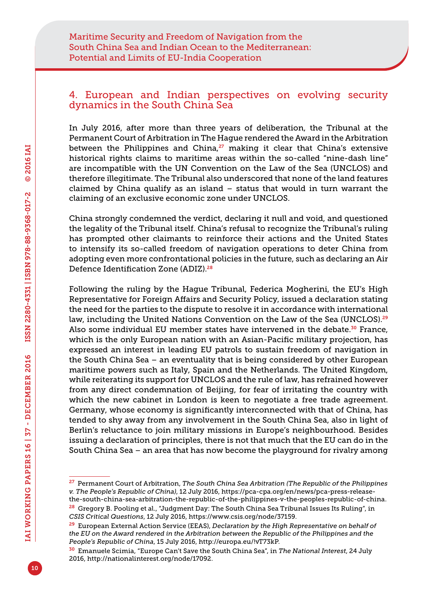#### 4. European and Indian perspectives on evolving security dynamics in the South China Sea

In July 2016, after more than three years of deliberation, the Tribunal at the Permanent Court of Arbitration in The Hague rendered the Award in the Arbitration between the Philippines and China, $27$  making it clear that China's extensive historical rights claims to maritime areas within the so-called "nine-dash line" are incompatible with the UN Convention on the Law of the Sea (UNCLOS) and therefore illegitimate. The Tribunal also underscored that none of the land features claimed by China qualify as an island – status that would in turn warrant the claiming of an exclusive economic zone under UNCLOS.

China strongly condemned the verdict, declaring it null and void, and questioned the legality of the Tribunal itself. China's refusal to recognize the Tribunal's ruling has prompted other claimants to reinforce their actions and the United States to intensify its so-called freedom of navigation operations to deter China from adopting even more confrontational policies in the future, such as declaring an Air Defence Identification Zone (ADIZ)<sup>28</sup>

Following the ruling by the Hague Tribunal, Federica Mogherini, the EU's High Representative for Foreign Affairs and Security Policy, issued a declaration stating the need for the parties to the dispute to resolve it in accordance with international law, including the United Nations Convention on the Law of the Sea (UNCLOS).<sup>29</sup> Also some individual EU member states have intervened in the debate.<sup>30</sup> France, which is the only European nation with an Asian-Pacific military projection, has expressed an interest in leading EU patrols to sustain freedom of navigation in the South China Sea – an eventuality that is being considered by other European maritime powers such as Italy, Spain and the Netherlands. The United Kingdom, while reiterating its support for UNCLOS and the rule of law, has refrained however from any direct condemnation of Beijing, for fear of irritating the country with which the new cabinet in London is keen to negotiate a free trade agreement. Germany, whose economy is significantly interconnected with that of China, has tended to shy away from any involvement in the South China Sea, also in light of Berlin's reluctance to join military missions in Europe's neighbourhood. Besides issuing a declaration of principles, there is not that much that the EU can do in the South China Sea – an area that has now become the playground for rivalry among

<sup>27</sup> Permanent Court of Arbitration, *The South China Sea Arbitration (The Republic of the Philippines v. The People's Republic of China)*, 12 July 2016, [https://pca-cpa.org/en/news/pca-press-release](https://pca-cpa.org/en/news/pca-press-release-the-south-china-sea-arbitration-the-republic-of-the-philippines-v-the-peoples-republic-of-china)[the-south-china-sea-arbitration-the-republic-of-the-philippines-v-the-peoples-republic-of-china](https://pca-cpa.org/en/news/pca-press-release-the-south-china-sea-arbitration-the-republic-of-the-philippines-v-the-peoples-republic-of-china).

<sup>28</sup> Gregory B. Pooling et al., "Judgment Day: The South China Sea Tribunal Issues Its Ruling", in *CSIS Critical Questions*, 12 July 2016, [https://www.csis.org/node/37159.](https://www.csis.org/node/37159)

<sup>29</sup> European External Action Service (EEAS), *Declaration by the High Representative on behalf of the EU on the Award rendered in the Arbitration between the Republic of the Philippines and the People's Republic of China*, 15 July 2016, <http://europa.eu/!vT73kP>.

<sup>30</sup> Emanuele Scimia, "Europe Can't Save the South China Sea", in *The National Interest*, 24 July 2016,<http://nationalinterest.org/node/17092>.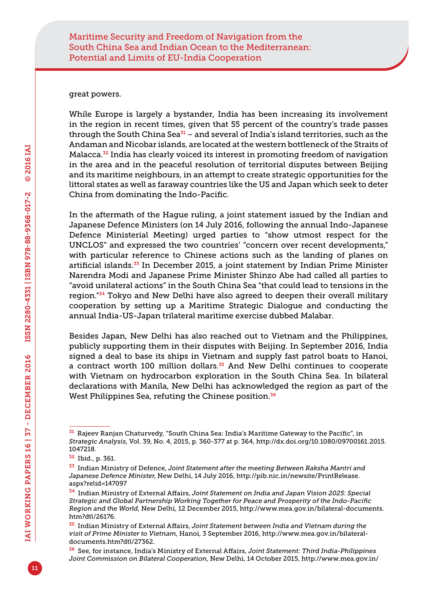#### great powers.

While Europe is largely a bystander, India has been increasing its involvement in the region in recent times, given that 55 percent of the country's trade passes through the South China Sea $31$  – and several of India's island territories, such as the Andaman and Nicobar islands, are located at the western bottleneck of the Straits of Malacca.32 India has clearly voiced its interest in promoting freedom of navigation in the area and in the peaceful resolution of territorial disputes between Beijing and its maritime neighbours, in an attempt to create strategic opportunities for the littoral states as well as faraway countries like the US and Japan which seek to deter China from dominating the Indo-Pacific.

In the aftermath of the Hague ruling, a joint statement issued by the Indian and Japanese Defence Ministers (on 14 July 2016, following the annual Indo-Japanese Defence Ministerial Meeting) urged parties to "show utmost respect for the UNCLOS" and expressed the two countries' "concern over recent developments," with particular reference to Chinese actions such as the landing of planes on artificial islands. $33$  In December 2015, a joint statement by Indian Prime Minister Narendra Modi and Japanese Prime Minister Shinzo Abe had called all parties to "avoid unilateral actions" in the South China Sea "that could lead to tensions in the region."34 Tokyo and New Delhi have also agreed to deepen their overall military cooperation by setting up a Maritime Strategic Dialogue and conducting the annual India-US-Japan trilateral maritime exercise dubbed Malabar.

Besides Japan, New Delhi has also reached out to Vietnam and the Philippines, publicly supporting them in their disputes with Beijing. In September 2016, India signed a deal to base its ships in Vietnam and supply fast patrol boats to Hanoi, a contract worth 100 million dollars.<sup>35</sup> And New Delhi continues to cooperate with Vietnam on hydrocarbon exploration in the South China Sea. In bilateral declarations with Manila, New Delhi has acknowledged the region as part of the West Philippines Sea, refuting the Chinese position.<sup>36</sup>

<sup>31</sup> Rajeev Ranjan Chaturvedy, "South China Sea: India's Maritime Gateway to the Pacific", in *Strategic Analysis*, Vol. 39, No. 4, 2015, p. 360-377 at p. 364, [http://dx.doi.org/10.1080/09700161.2015.](http://dx.doi.org/10.1080/09700161.2015.1047218) [1047218](http://dx.doi.org/10.1080/09700161.2015.1047218).

<sup>32</sup> Ibid., p. 361.

<sup>33</sup> Indian Ministry of Defence, *Joint Statement after the meeting Between Raksha Mantri and Japanese Defence Minister*, New Delhi, 14 July 2016, [http://pib.nic.in/newsite/PrintRelease.](http://pib.nic.in/newsite/PrintRelease.aspx?relid=147097) [aspx?relid=147097](http://pib.nic.in/newsite/PrintRelease.aspx?relid=147097)

<sup>34</sup> Indian Ministry of External Affairs, *Joint Statement on India and Japan Vision 2025: Special Strategic and Global Partnership Working Together for Peace and Prosperity of the Indo-Pacific Region and the World*, New Delhi, 12 December 2015, [http://www.mea.gov.in/bilateral-documents.](http://www.mea.gov.in/bilateral-documents.htm?dtl/26176) [htm?dtl/26176](http://www.mea.gov.in/bilateral-documents.htm?dtl/26176).

<sup>35</sup> Indian Ministry of External Affairs, *Joint Statement between India and Vietnam during the visit of Prime Minister to Vietnam*, Hanoi, 3 September 2016, [http://www.mea.gov.in/bilateral](http://www.mea.gov.in/bilateral-documents.htm?dtl/27362)[documents.htm?dtl/27362.](http://www.mea.gov.in/bilateral-documents.htm?dtl/27362)

<sup>36</sup> See, for instance, India's Ministry of External Affairs, *Joint Statement: Third India-Philippines Joint Commission on Bilateral Cooperation*, New Delhi, 14 October 2015, [http://www.mea.gov.in/](http://www.mea.gov.in/bilateral-documents.htm?dtl/25930)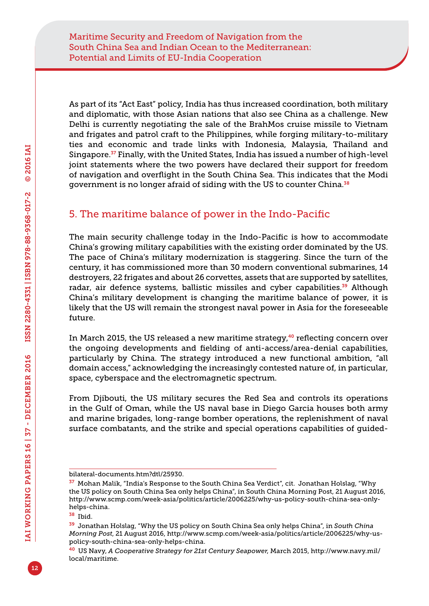As part of its "Act East" policy, India has thus increased coordination, both military and diplomatic, with those Asian nations that also see China as a challenge. New Delhi is currently negotiating the sale of the BrahMos cruise missile to Vietnam and frigates and patrol craft to the Philippines, while forging military-to-military ties and economic and trade links with Indonesia, Malaysia, Thailand and Singapore.37 Finally, with the United States, India has issued a number of high-level joint statements where the two powers have declared their support for freedom of navigation and overflight in the South China Sea. This indicates that the Modi government is no longer afraid of siding with the US to counter China.<sup>38</sup>

## 5. The maritime balance of power in the Indo-Pacific

The main security challenge today in the Indo-Pacific is how to accommodate China's growing military capabilities with the existing order dominated by the US. The pace of China's military modernization is staggering. Since the turn of the century, it has commissioned more than 30 modern conventional submarines, 14 destroyers, 22 frigates and about 26 corvettes, assets that are supported by satellites, radar, air defence systems, ballistic missiles and cyber capabilities.<sup>39</sup> Although China's military development is changing the maritime balance of power, it is likely that the US will remain the strongest naval power in Asia for the foreseeable future.

In March 2015, the US released a new maritime strategy,<sup>40</sup> reflecting concern over the ongoing developments and fielding of anti-access/area-denial capabilities, particularly by China. The strategy introduced a new functional ambition, "all domain access," acknowledging the increasingly contested nature of, in particular, space, cyberspace and the electromagnetic spectrum.

From Djibouti, the US military secures the Red Sea and controls its operations in the Gulf of Oman, while the US naval base in Diego Garcia houses both army and marine brigades, long-range bomber operations, the replenishment of naval surface combatants, and the strike and special operations capabilities of guided-

[bilateral-documents.htm?dtl/25930.](http://www.mea.gov.in/bilateral-documents.htm?dtl/25930)

 $37$  Mohan Malik, "India's Response to the South China Sea Verdict", cit. Jonathan Holslag, "Why the US policy on South China Sea only helps China", in South China Morning Post, 21 August 2016, [http://www.scmp.com/week-asia/politics/article/2006225/why-us-policy-south-china-sea-only](http://www.scmp.com/week-asia/politics/article/2006225/why-us-policy-south-china-sea-only-helps-china)[helps-china](http://www.scmp.com/week-asia/politics/article/2006225/why-us-policy-south-china-sea-only-helps-china).

<sup>38</sup> Ibid.

<sup>39</sup> Jonathan Holslag, "Why the US policy on South China Sea only helps China", in *South China Morning Post*, 21 August 2016, [http://www.scmp.com/week-asia/politics/article/2006225/why-us](http://www.scmp.com/week-asia/politics/article/2006225/why-us-policy-south-china-sea-only-helps-china)[policy-south-china-sea-only-helps-china.](http://www.scmp.com/week-asia/politics/article/2006225/why-us-policy-south-china-sea-only-helps-china)

<sup>40</sup> US Navy, *A Cooperative Strategy for 21st Century Seapower*, March 2015, [http://www.navy.mil/](http://www.navy.mil/local/maritime) [local/maritime](http://www.navy.mil/local/maritime).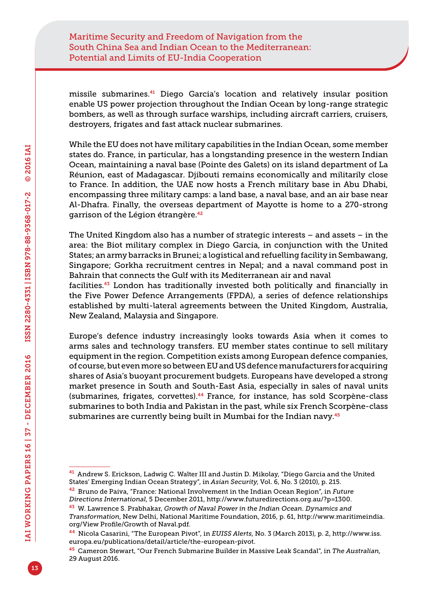missile submarines.41 Diego Garcia's location and relatively insular position enable US power projection throughout the Indian Ocean by long-range strategic bombers, as well as through surface warships, including aircraft carriers, cruisers, destroyers, frigates and fast attack nuclear submarines.

While the EU does not have military capabilities in the Indian Ocean, some member states do. France, in particular, has a longstanding presence in the western Indian Ocean, maintaining a naval base (Pointe des Galets) on its island department of La Réunion, east of Madagascar. Djibouti remains economically and militarily close to France. In addition, the UAE now hosts a French military base in Abu Dhabi, encompassing three military camps: a land base, a naval base, and an air base near Al-Dhafra. Finally, the overseas department of Mayotte is home to a 270-strong garrison of the Légion étrangère.<sup>42</sup>

The United Kingdom also has a number of strategic interests – and assets – in the area: the Biot military complex in Diego Garcia, in conjunction with the United States; an army barracks in Brunei; a logistical and refuelling facility in Sembawang, Singapore; Gorkha recruitment centres in Nepal; and a naval command post in Bahrain that connects the Gulf with its Mediterranean air and naval

facilities.43 London has traditionally invested both politically and financially in the Five Power Defence Arrangements (FPDA), a series of defence relationships established by multi-lateral agreements between the United Kingdom, Australia, New Zealand, Malaysia and Singapore.

Europe's defence industry increasingly looks towards Asia when it comes to arms sales and technology transfers. EU member states continue to sell military equipment in the region. Competition exists among European defence companies, of course, but even more so between EU and US defence manufacturers for acquiring shares of Asia's buoyant procurement budgets. Europeans have developed a strong market presence in South and South-East Asia, especially in sales of naval units (submarines, frigates, corvettes).44 France, for instance, has sold Scorpène-class submarines to both India and Pakistan in the past, while six French Scorpène-class submarines are currently being built in Mumbai for the Indian navy.<sup>45</sup>

<sup>&</sup>lt;sup>41</sup> Andrew S. Erickson, Ladwig C. Walter III and Justin D. Mikolay, "Diego Garcia and the United States' Emerging Indian Ocean Strategy", in *Asian Security*, Vol. 6, No. 3 (2010), p. 215.

<sup>42</sup> Bruno de Paiva, "France: National Involvement in the Indian Ocean Region", in *Future Directions International*, 5 December 2011, [http://www.futuredirections.org.au/?p=1300.](http://www.futuredirections.org.au/?p=1300)

<sup>43</sup> W. Lawrence S. Prabhakar, *Growth of Naval Power in the Indian Ocean. Dynamics and Transformation*, New Delhi, National Maritime Foundation, 2016, p. 61, [http://www.maritimeindia.](http://www.maritimeindia.org/View Profile/Growth of Naval.pdf) [org/View Profile/Growth of Naval.pdf](http://www.maritimeindia.org/View Profile/Growth of Naval.pdf).

<sup>44</sup> Nicola Casarini, "The European Pivot", in *EUISS Alerts*, No. 3 (March 2013), p. 2, [http://www.iss.](http://www.iss.europa.eu/publications/detail/article/the-european-pivot) [europa.eu/publications/detail/article/the-european-pivot](http://www.iss.europa.eu/publications/detail/article/the-european-pivot).

<sup>45</sup> Cameron Stewart, "Our French Submarine Builder in Massive Leak Scandal", in *The Australian*, 29 August 2016.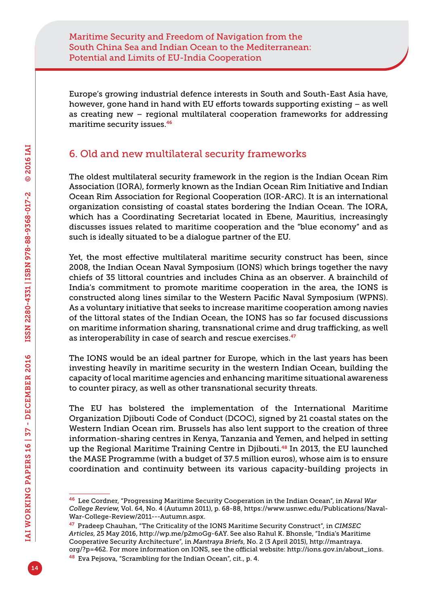Europe's growing industrial defence interests in South and South-East Asia have, however, gone hand in hand with EU efforts towards supporting existing – as well as creating new – regional multilateral cooperation frameworks for addressing maritime security issues.<sup>46</sup>

# 6. Old and new multilateral security frameworks

The oldest multilateral security framework in the region is the Indian Ocean Rim Association (IORA), formerly known as the Indian Ocean Rim Initiative and Indian Ocean Rim Association for Regional Cooperation (IOR-ARC). It is an international organization consisting of coastal states bordering the Indian Ocean. The IORA, which has a Coordinating Secretariat located in Ebene, Mauritius, increasingly discusses issues related to maritime cooperation and the "blue economy" and as such is ideally situated to be a dialogue partner of the EU.

Yet, the most effective multilateral maritime security construct has been, since 2008, the Indian Ocean Naval Symposium (IONS) which brings together the navy chiefs of 35 littoral countries and includes China as an observer. A brainchild of India's commitment to promote maritime cooperation in the area, the IONS is constructed along lines similar to the Western Pacific Naval Symposium (WPNS). As a voluntary initiative that seeks to increase maritime cooperation among navies of the littoral states of the Indian Ocean, the IONS has so far focused discussions on maritime information sharing, transnational crime and drug trafficking, as well as interoperability in case of search and rescue exercises.<sup>47</sup>

The IONS would be an ideal partner for Europe, which in the last years has been investing heavily in maritime security in the western Indian Ocean, building the capacity of local maritime agencies and enhancing maritime situational awareness to counter piracy, as well as other transnational security threats.

The EU has bolstered the implementation of the International Maritime Organization Djibouti Code of Conduct (DCOC), signed by 21 coastal states on the Western Indian Ocean rim. Brussels has also lent support to the creation of three information-sharing centres in Kenya, Tanzania and Yemen, and helped in setting up the Regional Maritime Training Centre in Djibouti.48 In 2013, the EU launched the MASE Programme (with a budget of 37.5 million euros), whose aim is to ensure coordination and continuity between its various capacity-building projects in

<sup>46</sup> Lee Cordner, "Progressing Maritime Security Cooperation in the Indian Ocean", in *Naval War College Review*, Vol. 64, No. 4 (Autumn 2011), p. 68-88, [https://www.usnwc.edu/Publications/Naval-](https://www.usnwc.edu/Publications/Naval-War-College-Review/2011---Autumn.aspx)[War-College-Review/2011---Autumn.aspx.](https://www.usnwc.edu/Publications/Naval-War-College-Review/2011---Autumn.aspx)

<sup>47</sup> Pradeep Chauhan, "The Criticality of the IONS Maritime Security Construct", in *CIMSEC Articles*, 25 May 2016, [http://wp.me/p2moGg-6AY.](http://wp.me/p2moGg-6AY) See also Rahul K. Bhonsle, "India's Maritime Cooperative Security Architecture", in *Mantraya Briefs*, No. 2 (3 April 2015), [http://mantraya.](http://mantraya.org/?p=462) [org/?p=462.](http://mantraya.org/?p=462) For more information on IONS, see the official website: [http://ions.gov.in/about\\_ions](http://ions.gov.in/about_ions).

<sup>&</sup>lt;sup>48</sup> Eva Pejsova, "Scrambling for the Indian Ocean", cit., p. 4.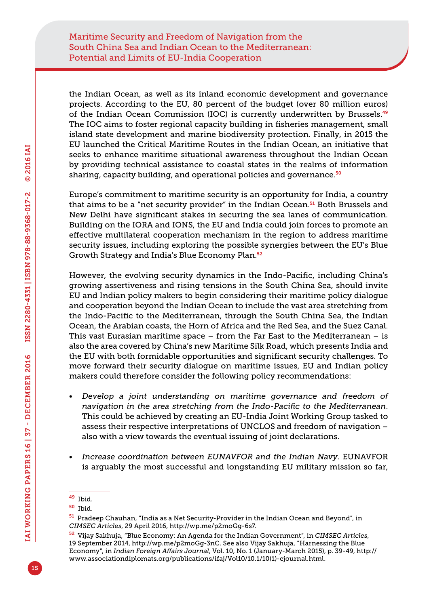the Indian Ocean, as well as its inland economic development and governance projects. According to the EU, 80 percent of the budget (over 80 million euros) of the Indian Ocean Commission (IOC) is currently underwritten by Brussels.<sup>49</sup> The IOC aims to foster regional capacity building in fisheries management, small island state development and marine biodiversity protection. Finally, in 2015 the EU launched the Critical Maritime Routes in the Indian Ocean, an initiative that seeks to enhance maritime situational awareness throughout the Indian Ocean by providing technical assistance to coastal states in the realms of information sharing, capacity building, and operational policies and governance.<sup>50</sup>

Europe's commitment to maritime security is an opportunity for India, a country that aims to be a "net security provider" in the Indian Ocean.<sup>51</sup> Both Brussels and New Delhi have significant stakes in securing the sea lanes of communication. Building on the IORA and IONS, the EU and India could join forces to promote an effective multilateral cooperation mechanism in the region to address maritime security issues, including exploring the possible synergies between the EU's Blue Growth Strategy and India's Blue Economy Plan.<sup>52</sup>

However, the evolving security dynamics in the Indo-Pacific, including China's growing assertiveness and rising tensions in the South China Sea, should invite EU and Indian policy makers to begin considering their maritime policy dialogue and cooperation beyond the Indian Ocean to include the vast area stretching from the Indo-Pacific to the Mediterranean, through the South China Sea, the Indian Ocean, the Arabian coasts, the Horn of Africa and the Red Sea, and the Suez Canal. This vast Eurasian maritime space  $-$  from the Far East to the Mediterranean  $-$  is also the area covered by China's new Maritime Silk Road, which presents India and the EU with both formidable opportunities and significant security challenges. To move forward their security dialogue on maritime issues, EU and Indian policy makers could therefore consider the following policy recommendations:

- *Develop a joint understanding on maritime governance and freedom of navigation in the area stretching from the Indo-Pacific to the Mediterranean*. This could be achieved by creating an EU-India Joint Working Group tasked to assess their respective interpretations of UNCLOS and freedom of navigation – also with a view towards the eventual issuing of joint declarations.
- *Increase coordination between EUNAVFOR and the Indian Navy*. EUNAVFOR is arguably the most successful and longstanding EU military mission so far,

<sup>49</sup> Ibid.

<sup>50</sup> Ibid.

<sup>51</sup> Pradeep Chauhan, "India as a Net Security-Provider in the Indian Ocean and Beyond", in *CIMSEC Articles*, 29 April 2016, [http://wp.me/p2moGg-6s7.](http://wp.me/p2moGg-6s7)

<sup>52</sup> Vijay Sakhuja, "Blue Economy: An Agenda for the Indian Government", in *CIMSEC Articles*, 19 September 2014,<http://wp.me/p2moGg-3nC>. See also Vijay Sakhuja, "Harnessing the Blue Economy", in *Indian Foreign Affairs Journal*, Vol. 10, No. 1 (January-March 2015), p. 39-49, [http://](http://www.associationdiplomats.org/publications/ifaj/Vol10/10.1/10(1)-ejournal.html) [www.associationdiplomats.org/publications/ifaj/Vol10/10.1/10\(1\)-ejournal.html.](http://www.associationdiplomats.org/publications/ifaj/Vol10/10.1/10(1)-ejournal.html)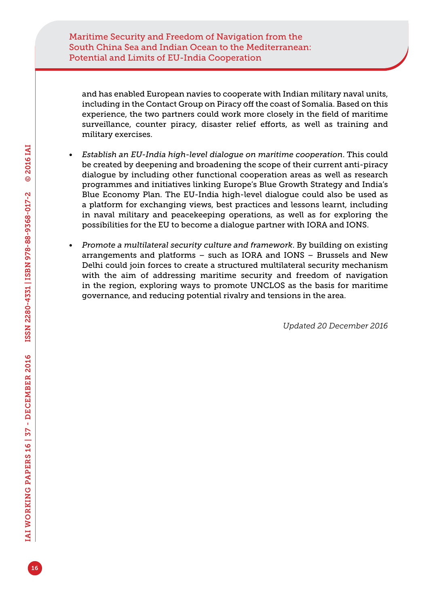and has enabled European navies to cooperate with Indian military naval units, including in the Contact Group on Piracy off the coast of Somalia. Based on this experience, the two partners could work more closely in the field of maritime surveillance, counter piracy, disaster relief efforts, as well as training and military exercises.

- *Establish an EU-India high-level dialogue on maritime cooperation*. This could be created by deepening and broadening the scope of their current anti-piracy dialogue by including other functional cooperation areas as well as research programmes and initiatives linking Europe's Blue Growth Strategy and India's Blue Economy Plan. The EU-India high-level dialogue could also be used as a platform for exchanging views, best practices and lessons learnt, including in naval military and peacekeeping operations, as well as for exploring the possibilities for the EU to become a dialogue partner with IORA and IONS.
- *Promote a multilateral security culture and framework*. By building on existing arrangements and platforms – such as IORA and IONS – Brussels and New Delhi could join forces to create a structured multilateral security mechanism with the aim of addressing maritime security and freedom of navigation in the region, exploring ways to promote UNCLOS as the basis for maritime governance, and reducing potential rivalry and tensions in the area.

*Updated 20 December 2016*

16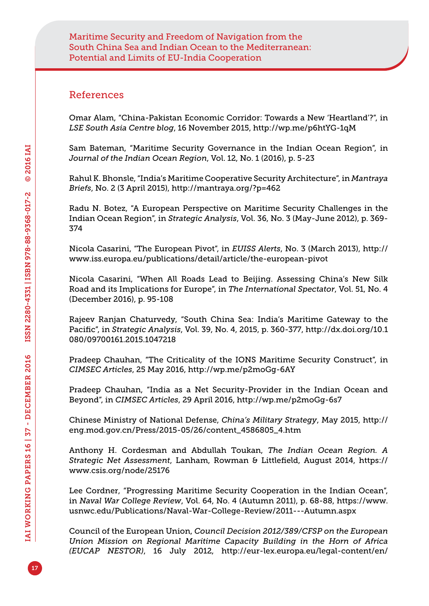### References

Omar Alam, "China-Pakistan Economic Corridor: Towards a New 'Heartland'?", in *LSE South Asia Centre blog*, 16 November 2015,<http://wp.me/p6htYG-1qM>

Sam Bateman, "Maritime Security Governance in the Indian Ocean Region", in *Journal of the Indian Ocean Region*, Vol. 12, No. 1 (2016), p. 5-23

Rahul K. Bhonsle, "India's Maritime Cooperative Security Architecture", in *Mantraya Briefs*, No. 2 (3 April 2015),<http://mantraya.org/?p=462>

Radu N. Botez, "A European Perspective on Maritime Security Challenges in the Indian Ocean Region", in *Strategic Analysis*, Vol. 36, No. 3 (May-June 2012), p. 369- 374

Nicola Casarini, "The European Pivot", in *EUISS Alerts*, No. 3 (March 2013), [http://](http://www.iss.europa.eu/publications/detail/article/the-european-pivot) [www.iss.europa.eu/publications/detail/article/the-european-pivot](http://www.iss.europa.eu/publications/detail/article/the-european-pivot)

Nicola Casarini, "When All Roads Lead to Beijing. Assessing China's New Silk Road and its Implications for Europe", in *The International Spectator*, Vol. 51, No. 4 (December 2016), p. 95-108

Rajeev Ranjan Chaturvedy, "South China Sea: India's Maritime Gateway to the Pacific", in *Strategic Analysis*, Vol. 39, No. 4, 2015, p. 360-377, [http://dx.doi.org/10.1](http://dx.doi.org/10.1080/09700161.2015.1047218) [080/09700161.2015.1047218](http://dx.doi.org/10.1080/09700161.2015.1047218)

Pradeep Chauhan, "The Criticality of the IONS Maritime Security Construct", in *CIMSEC Articles*, 25 May 2016,<http://wp.me/p2moGg-6AY>

Pradeep Chauhan, "India as a Net Security-Provider in the Indian Ocean and Beyond", in *CIMSEC Articles*, 29 April 2016, <http://wp.me/p2moGg-6s7>

Chinese Ministry of National Defense, *China's Military Strategy*, May 2015, [http://](http://eng.mod.gov.cn/Press/2015-05/26/content_4586805_4.htm) [eng.mod.gov.cn/Press/2015-05/26/content\\_4586805\\_4.htm](http://eng.mod.gov.cn/Press/2015-05/26/content_4586805_4.htm)

Anthony H. Cordesman and Abdullah Toukan, *The Indian Ocean Region. A Strategic Net Assessment*, Lanham, Rowman & Littlefield, August 2014, [https://](https://www.csis.org/node/25176) [www.csis.org/node/25176](https://www.csis.org/node/25176)

Lee Cordner, "Progressing Maritime Security Cooperation in the Indian Ocean", in *Naval War College Review*, Vol. 64, No. 4 (Autumn 2011), p. 68-88, [https://www.](https://www.usnwc.edu/Publications/Naval-War-College-Review/2011---Autumn.aspx) [usnwc.edu/Publications/Naval-War-College-Review/2011---Autumn.aspx](https://www.usnwc.edu/Publications/Naval-War-College-Review/2011---Autumn.aspx)

Council of the European Union, *Council Decision 2012/389/CFSP on the European Union Mission on Regional Maritime Capacity Building in the Horn of Africa (EUCAP NESTOR)*, 16 July 2012, [http://eur-lex.europa.eu/legal-content/en/](http://eur-lex.europa.eu/legal-content/en/TXT/?uri=celex:32012D0389)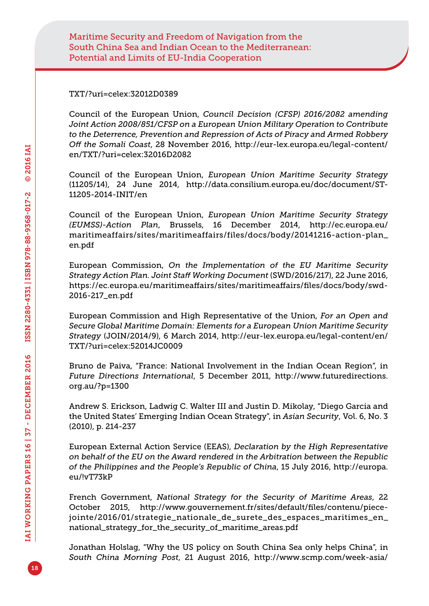[TXT/?uri=celex:32012D0389](http://eur-lex.europa.eu/legal-content/en/TXT/?uri=celex:32012D0389)

Council of the European Union, *Council Decision (CFSP) 2016/2082 amending Joint Action 2008/851/CFSP on a European Union Military Operation to Contribute to the Deterrence, Prevention and Repression of Acts of Piracy and Armed Robbery Off the Somali Coast*, 28 November 2016, [http://eur-lex.europa.eu/legal-content/](http://eur-lex.europa.eu/legal-content/en/TXT/?uri=celex:32016D2082) [en/TXT/?uri=celex:32016D2082](http://eur-lex.europa.eu/legal-content/en/TXT/?uri=celex:32016D2082)

Council of the European Union, *European Union Maritime Security Strategy*  (11205/14), 24 June 2014, [http://data.consilium.europa.eu/doc/document/ST-](http://data.consilium.europa.eu/doc/document/ST-11205-2014-INIT/en)[11205-2014-INIT/en](http://data.consilium.europa.eu/doc/document/ST-11205-2014-INIT/en)

Council of the European Union, *European Union Maritime Security Strategy (EUMSS)-Action Plan*, Brussels, 16 December 2014, [http://ec.europa.eu/](http://ec.europa.eu/maritimeaffairs/sites/maritimeaffairs/files/docs/body/20141216-action-plan_en.pdf) [maritimeaffairs/sites/maritimeaffairs/files/docs/body/20141216-action-plan\\_](http://ec.europa.eu/maritimeaffairs/sites/maritimeaffairs/files/docs/body/20141216-action-plan_en.pdf) [en.pdf](http://ec.europa.eu/maritimeaffairs/sites/maritimeaffairs/files/docs/body/20141216-action-plan_en.pdf)

European Commission, *On the Implementation of the EU Maritime Security Strategy Action Plan. Joint Staff Working Document* (SWD/2016/217), 22 June 2016, [https://ec.europa.eu/maritimeaffairs/sites/maritimeaffairs/files/docs/body/swd-](https://ec.europa.eu/maritimeaffairs/sites/maritimeaffairs/files/docs/body/swd-2016-217_en.pdf)[2016-217\\_en.pdf](https://ec.europa.eu/maritimeaffairs/sites/maritimeaffairs/files/docs/body/swd-2016-217_en.pdf)

European Commission and High Representative of the Union, *For an Open and Secure Global Maritime Domain: Elements for a European Union Maritime Security Strategy* (JOIN/2014/9), 6 March 2014, [http://eur-lex.europa.eu/legal-content/en/](http://eur-lex.europa.eu/legal-content/en/TXT/?uri=celex:52014JC0009) [TXT/?uri=celex:52014JC0009](http://eur-lex.europa.eu/legal-content/en/TXT/?uri=celex:52014JC0009)

Bruno de Paiva, "France: National Involvement in the Indian Ocean Region", in *Future Directions International*, 5 December 2011, [http://www.futuredirections.](http://www.futuredirections.org.au/?p=1300) [org.au/?p=1300](http://www.futuredirections.org.au/?p=1300)

Andrew S. Erickson, Ladwig C. Walter III and Justin D. Mikolay, "Diego Garcia and the United States' Emerging Indian Ocean Strategy", in *Asian Security*, Vol. 6, No. 3 (2010), p. 214-237

European External Action Service (EEAS), *Declaration by the High Representative on behalf of the EU on the Award rendered in the Arbitration between the Republic of the Philippines and the People's Republic of China*, 15 July 2016, [http://europa.](http://europa.eu/!vT73kP) [eu/!vT73kP](http://europa.eu/!vT73kP)

French Government, *National Strategy for the Security of Maritime Areas*, 22 October 2015, [http://www.gouvernement.fr/sites/default/files/contenu/piece](http://www.gouvernement.fr/sites/default/files/contenu/piece-jointe/2016/01/strategie_nationale_de_surete_des_espaces_maritimes_en_national_strategy_for_the_security_of_maritime_areas.pdf)[jointe/2016/01/strategie\\_nationale\\_de\\_surete\\_des\\_espaces\\_maritimes\\_en\\_](http://www.gouvernement.fr/sites/default/files/contenu/piece-jointe/2016/01/strategie_nationale_de_surete_des_espaces_maritimes_en_national_strategy_for_the_security_of_maritime_areas.pdf) [national\\_strategy\\_for\\_the\\_security\\_of\\_maritime\\_areas.pdf](http://www.gouvernement.fr/sites/default/files/contenu/piece-jointe/2016/01/strategie_nationale_de_surete_des_espaces_maritimes_en_national_strategy_for_the_security_of_maritime_areas.pdf)

Jonathan Holslag, "Why the US policy on South China Sea only helps China", in *South China Morning Post*, 21 August 2016, [http://www.scmp.com/week-asia/](http://www.scmp.com/week-asia/politics/article/2006225/why-us-policy-south-china-sea-only-helps-china)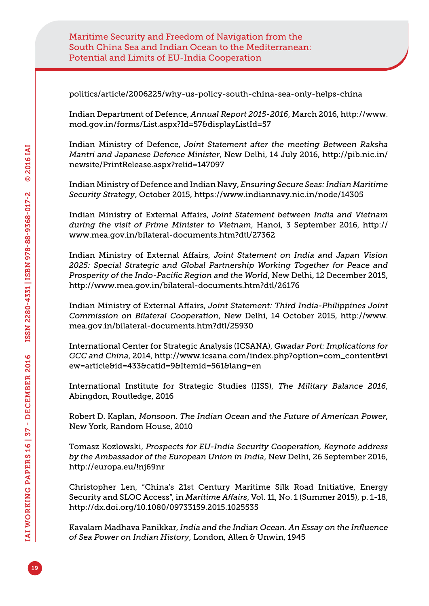[politics/article/2006225/why-us-policy-south-china-sea-only-helps-china](http://www.scmp.com/week-asia/politics/article/2006225/why-us-policy-south-china-sea-only-helps-china)

Indian Department of Defence, *Annual Report 2015-2016*, March 2016, [http://www.](http://www.mod.gov.in/forms/List.aspx?Id=57&displayListId=57) [mod.gov.in/forms/List.aspx?Id=57&displayListId=57](http://www.mod.gov.in/forms/List.aspx?Id=57&displayListId=57)

Indian Ministry of Defence, *Joint Statement after the meeting Between Raksha Mantri and Japanese Defence Minister*, New Delhi, 14 July 2016, [http://pib.nic.in/](http://pib.nic.in/newsite/PrintRelease.aspx?relid=147097) [newsite/PrintRelease.aspx?relid=147097](http://pib.nic.in/newsite/PrintRelease.aspx?relid=147097)

Indian Ministry of Defence and Indian Navy, *Ensuring Secure Seas: Indian Maritime Security Strategy*, October 2015, <https://www.indiannavy.nic.in/node/14305>

Indian Ministry of External Affairs, *Joint Statement between India and Vietnam during the visit of Prime Minister to Vietnam*, Hanoi, 3 September 2016, [http://](http://www.mea.gov.in/bilateral-documents.htm?dtl/27362) [www.mea.gov.in/bilateral-documents.htm?dtl/27362](http://www.mea.gov.in/bilateral-documents.htm?dtl/27362)

Indian Ministry of External Affairs, *Joint Statement on India and Japan Vision 2025: Special Strategic and Global Partnership Working Together for Peace and Prosperity of the Indo-Pacific Region and the World*, New Delhi, 12 December 2015, <http://www.mea.gov.in/bilateral-documents.htm?dtl/26176>

Indian Ministry of External Affairs, *Joint Statement: Third India-Philippines Joint Commission on Bilateral Cooperation*, New Delhi, 14 October 2015, [http://www.](http://www.mea.gov.in/bilateral-documents.htm?dtl/25930) [mea.gov.in/bilateral-documents.htm?dtl/25930](http://www.mea.gov.in/bilateral-documents.htm?dtl/25930)

International Center for Strategic Analysis (ICSANA), *Gwadar Port: Implications for GCC and China*, 2014, [http://www.icsana.com/index.php?option=com\\_content&vi](http://www.icsana.com/index.php?option=com_content&view=article&id=433&catid=9&Itemid=561&lang=en) [ew=article&id=433&catid=9&Itemid=561&lang=en](http://www.icsana.com/index.php?option=com_content&view=article&id=433&catid=9&Itemid=561&lang=en)

International Institute for Strategic Studies (IISS), *The Military Balance 2016*, Abingdon, Routledge, 2016

Robert D. Kaplan, *Monsoon. The Indian Ocean and the Future of American Power*, New York, Random House, 2010

Tomasz Kozlowski, *Prospects for EU-India Security Cooperation, Keynote address by the Ambassador of the European Union in India*, New Delhi, 26 September 2016, [http://europa.eu/](http://europa.eu)!nj69nr

Christopher Len, "China's 21st Century Maritime Silk Road Initiative, Energy Security and SLOC Access", in *Maritime Affairs*, Vol. 11, No. 1 (Summer 2015), p. 1-18, <http://dx.doi.org/10.1080/09733159.2015.1025535>

Kavalam Madhava Panikkar, *India and the Indian Ocean. An Essay on the Influence of Sea Power on Indian History*, London, Allen & Unwin, 1945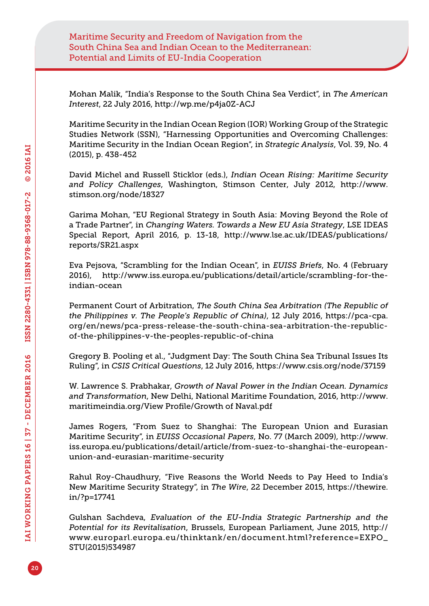Mohan Malik, "India's Response to the South China Sea Verdict", in *The American Interest*, 22 July 2016, <http://wp.me/p4ja0Z-ACJ>

Maritime Security in the Indian Ocean Region (IOR) Working Group of the Strategic Studies Network (SSN), "Harnessing Opportunities and Overcoming Challenges: Maritime Security in the Indian Ocean Region", in *Strategic Analysis*, Vol. 39, No. 4 (2015), p. 438-452

David Michel and Russell Sticklor (eds.), *Indian Ocean Rising: Maritime Security and Policy Challenges*, Washington, Stimson Center, July 2012, [http://www.](http://www.stimson.org/node/18327) [stimson.org/node/18327](http://www.stimson.org/node/18327)

Garima Mohan, "EU Regional Strategy in South Asia: Moving Beyond the Role of a Trade Partner", in *Changing Waters. Towards a New EU Asia Strategy*, LSE IDEAS Special Report, April 2016, p. 13-18, [http://www.lse.ac.uk/IDEAS/publications/](http://www.lse.ac.uk/IDEAS/publications/reports/SR21.aspx) [reports/SR21.aspx](http://www.lse.ac.uk/IDEAS/publications/reports/SR21.aspx)

Eva Pejsova, "Scrambling for the Indian Ocean", in *EUISS Briefs*, No. 4 (February 2016), [http://www.iss.europa.eu/publications/detail/article/scrambling-for-the](http://www.iss.europa.eu/publications/detail/article/scrambling-for-the-indian-ocean)[indian-ocean](http://www.iss.europa.eu/publications/detail/article/scrambling-for-the-indian-ocean)

Permanent Court of Arbitration, *The South China Sea Arbitration (The Republic of the Philippines v. The People's Republic of China)*, 12 July 2016, [https://pca-cpa.](https://pca-cpa.org/en/news/pca-press-release-the-south-china-sea-arbitration-the-republic-of-the-philippines-v-the-peoples-republic-of-china) [org/en/news/pca-press-release-the-south-china-sea-arbitration-the-republic](https://pca-cpa.org/en/news/pca-press-release-the-south-china-sea-arbitration-the-republic-of-the-philippines-v-the-peoples-republic-of-china)[of-the-philippines-v-the-peoples-republic-of-china](https://pca-cpa.org/en/news/pca-press-release-the-south-china-sea-arbitration-the-republic-of-the-philippines-v-the-peoples-republic-of-china)

Gregory B. Pooling et al., "Judgment Day: The South China Sea Tribunal Issues Its Ruling", in *CSIS Critical Questions*, 12 July 2016, <https://www.csis.org/node/37159>

W. Lawrence S. Prabhakar, *Growth of Naval Power in the Indian Ocean. Dynamics and Transformation*, New Delhi, National Maritime Foundation, 2016, [http://www.](http://www.maritimeindia.org/View Profile/Growth of Naval.pdf) [maritimeindia.org/View Profile/Growth of Naval.pdf](http://www.maritimeindia.org/View Profile/Growth of Naval.pdf)

James Rogers, "From Suez to Shanghai: The European Union and Eurasian Maritime Security", in *EUISS Occasional Papers*, No. 77 (March 2009), [http://www.](http://www.iss.europa.eu/publications/detail/article/from-suez-to-shanghai-the-european-union-and-eurasian-maritime-security) [iss.europa.eu/publications/detail/article/from-suez-to-shanghai-the-european](http://www.iss.europa.eu/publications/detail/article/from-suez-to-shanghai-the-european-union-and-eurasian-maritime-security)[union-and-eurasian-maritime-security](http://www.iss.europa.eu/publications/detail/article/from-suez-to-shanghai-the-european-union-and-eurasian-maritime-security)

Rahul Roy-Chaudhury, "Five Reasons the World Needs to Pay Heed to India's New Maritime Security Strategy", in *The Wire*, 22 December 2015, [https://thewire.](https://thewire.in/?p=17741) [in/?p=17741](https://thewire.in/?p=17741)

Gulshan Sachdeva, *Evaluation of the EU-India Strategic Partnership and the Potential for its Revitalisation*, Brussels, European Parliament, June 2015, [http://](http://www.europarl.europa.eu/thinktank/en/document.html?reference=EXPO_STU(2015)534987) [www.europarl.europa.eu/thinktank/en/document.html?reference=EXPO\\_](http://www.europarl.europa.eu/thinktank/en/document.html?reference=EXPO_STU(2015)534987) [STU\(2015\)534987](http://www.europarl.europa.eu/thinktank/en/document.html?reference=EXPO_STU(2015)534987)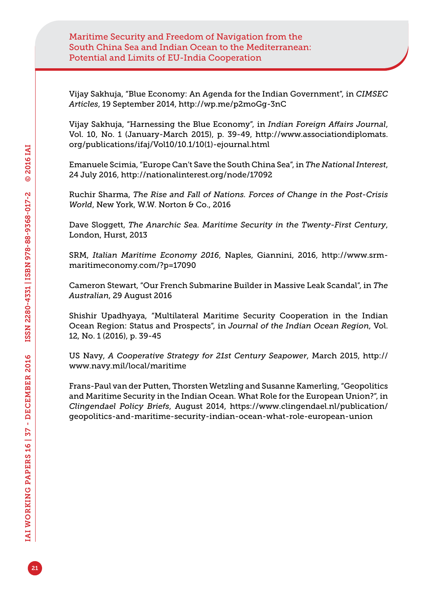Vijay Sakhuja, "Blue Economy: An Agenda for the Indian Government", in *CIMSEC Articles*, 19 September 2014,<http://wp.me/p2moGg-3nC>

Vijay Sakhuja, "Harnessing the Blue Economy", in *Indian Foreign Affairs Journal*, Vol. 10, No. 1 (January-March 2015), p. 39-49, [http://www.associationdiplomats.](http://www.associationdiplomats.org/publications/ifaj/Vol10/10.1/10(1)-ejournal.html) [org/publications/ifaj/Vol10/10.1/10\(1\)-ejournal.html](http://www.associationdiplomats.org/publications/ifaj/Vol10/10.1/10(1)-ejournal.html)

Emanuele Scimia, "Europe Can't Save the South China Sea", in *The National Interest*, 24 July 2016, <http://nationalinterest.org/node/17092>

Ruchir Sharma, *The Rise and Fall of Nations. Forces of Change in the Post-Crisis World*, New York, W.W. Norton & Co., 2016

Dave Sloggett, *The Anarchic Sea. Maritime Security in the Twenty-First Century*, London, Hurst, 2013

SRM, *Italian Maritime Economy 2016*, Naples, Giannini, 2016, [http://www.srm](http://www.srm-maritimeconomy.com/?p=17090)[maritimeconomy.com/?p=17090](http://www.srm-maritimeconomy.com/?p=17090)

Cameron Stewart, "Our French Submarine Builder in Massive Leak Scandal", in *The Australian*, 29 August 2016

Shishir Upadhyaya, "Multilateral Maritime Security Cooperation in the Indian Ocean Region: Status and Prospects", in *Journal of the Indian Ocean Region*, Vol. 12, No. 1 (2016), p. 39-45

US Navy, *A Cooperative Strategy for 21st Century Seapower*, March 2015, [http://](http://www.navy.mil/local/maritime) [www.navy.mil/local/maritime](http://www.navy.mil/local/maritime)

Frans-Paul van der Putten, Thorsten Wetzling and Susanne Kamerling, "Geopolitics and Maritime Security in the Indian Ocean. What Role for the European Union?", in *Clingendael Policy Briefs*, August 2014, [https://www.clingendael.nl/publication/](https://www.clingendael.nl/publication/geopolitics-and-maritime-security-indian-ocean-what-role-european-union) [geopolitics-and-maritime-security-indian-ocean-what-role-european-union](https://www.clingendael.nl/publication/geopolitics-and-maritime-security-indian-ocean-what-role-european-union)